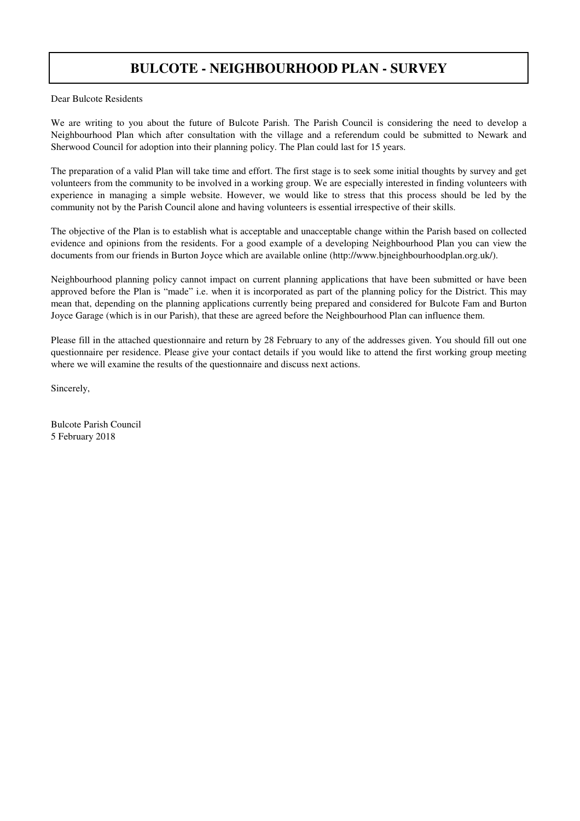## **BULCOTE - NEIGHBOURHOOD PLAN - SURVEY**

Dear Bulcote Residents

We are writing to you about the future of Bulcote Parish. The Parish Council is considering the need to develop a Neighbourhood Plan which after consultation with the village and a referendum could be submitted to Newark and Sherwood Council for adoption into their planning policy. The Plan could last for 15 years.

The preparation of a valid Plan will take time and effort. The first stage is to seek some initial thoughts by survey and get volunteers from the community to be involved in a working group. We are especially interested in finding volunteers with experience in managing a simple website. However, we would like to stress that this process should be led by the community not by the Parish Council alone and having volunteers is essential irrespective of their skills.

The objective of the Plan is to establish what is acceptable and unacceptable change within the Parish based on collected evidence and opinions from the residents. For a good example of a developing Neighbourhood Plan you can view the documents from our friends in Burton Joyce which are available online (http://www.bjneighbourhoodplan.org.uk/).

Neighbourhood planning policy cannot impact on current planning applications that have been submitted or have been approved before the Plan is "made" i.e. when it is incorporated as part of the planning policy for the District. This may mean that, depending on the planning applications currently being prepared and considered for Bulcote Fam and Burton Joyce Garage (which is in our Parish), that these are agreed before the Neighbourhood Plan can influence them.

Please fill in the attached questionnaire and return by 28 February to any of the addresses given. You should fill out one questionnaire per residence. Please give your contact details if you would like to attend the first working group meeting where we will examine the results of the questionnaire and discuss next actions.

Sincerely,

Bulcote Parish Council 5 February 2018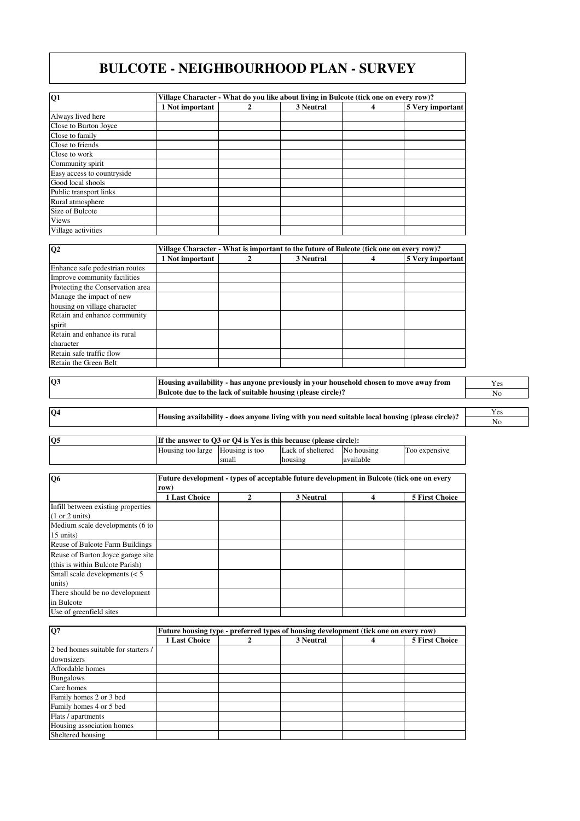## **BULCOTE - NEIGHBOURHOOD PLAN - SURVEY**

| Q <sub>1</sub>             | Village Character - What do you like about living in Bulcote (tick one on every row)? |  |           |  |                  |  |
|----------------------------|---------------------------------------------------------------------------------------|--|-----------|--|------------------|--|
|                            | 1 Not important                                                                       |  | 3 Neutral |  | 5 Very important |  |
| Always lived here          |                                                                                       |  |           |  |                  |  |
| Close to Burton Joyce      |                                                                                       |  |           |  |                  |  |
| Close to family            |                                                                                       |  |           |  |                  |  |
| Close to friends           |                                                                                       |  |           |  |                  |  |
| Close to work              |                                                                                       |  |           |  |                  |  |
| Community spirit           |                                                                                       |  |           |  |                  |  |
| Easy access to countryside |                                                                                       |  |           |  |                  |  |
| Good local shools          |                                                                                       |  |           |  |                  |  |
| Public transport links     |                                                                                       |  |           |  |                  |  |
| Rural atmosphere           |                                                                                       |  |           |  |                  |  |
| Size of Bulcote            |                                                                                       |  |           |  |                  |  |
| <b>Views</b>               |                                                                                       |  |           |  |                  |  |
| Village activities         |                                                                                       |  |           |  |                  |  |

| $\overline{Q2}$                  |                 | Village Character - What is important to the future of Bulcote (tick one on every row)? |           |  |                  |  |  |  |
|----------------------------------|-----------------|-----------------------------------------------------------------------------------------|-----------|--|------------------|--|--|--|
|                                  | 1 Not important |                                                                                         | 3 Neutral |  | 5 Very important |  |  |  |
| Enhance safe pedestrian routes   |                 |                                                                                         |           |  |                  |  |  |  |
| Improve community facilities     |                 |                                                                                         |           |  |                  |  |  |  |
| Protecting the Conservation area |                 |                                                                                         |           |  |                  |  |  |  |
| Manage the impact of new         |                 |                                                                                         |           |  |                  |  |  |  |
| housing on village character     |                 |                                                                                         |           |  |                  |  |  |  |
| Retain and enhance community     |                 |                                                                                         |           |  |                  |  |  |  |
| spirit                           |                 |                                                                                         |           |  |                  |  |  |  |
| Retain and enhance its rural     |                 |                                                                                         |           |  |                  |  |  |  |
| character                        |                 |                                                                                         |           |  |                  |  |  |  |
| Retain safe traffic flow         |                 |                                                                                         |           |  |                  |  |  |  |
| Retain the Green Belt            |                 |                                                                                         |           |  |                  |  |  |  |

**Q3**

**Housing availability - has anyone previously in your household chosen to move away from Bulcote due to the lack of suitable housing (please circle)?**

Yes No

Yes No **Housing availability - does anyone living with you need suitable local housing (please circle)? Q4**

| <b>O5</b> | If the answer to O3 or O4 is Yes is this because (please circle): |       |                   |            |               |
|-----------|-------------------------------------------------------------------|-------|-------------------|------------|---------------|
|           | Housing too large Housing is too                                  |       | Lack of sheltered | No housing | Too expensive |
|           |                                                                   | small | housing           | available  |               |

| O <sub>6</sub>                     | Future development - types of acceptable future development in Bulcote (tick one on every |   |           |   |                       |  |
|------------------------------------|-------------------------------------------------------------------------------------------|---|-----------|---|-----------------------|--|
|                                    | row)                                                                                      |   |           |   |                       |  |
|                                    | <b>1 Last Choice</b>                                                                      | 2 | 3 Neutral | 4 | <b>5 First Choice</b> |  |
| Infill between existing properties |                                                                                           |   |           |   |                       |  |
| (1 or 2 units)                     |                                                                                           |   |           |   |                       |  |
| Medium scale developments (6 to    |                                                                                           |   |           |   |                       |  |
| 15 units)                          |                                                                                           |   |           |   |                       |  |
| Reuse of Bulcote Farm Buildings    |                                                                                           |   |           |   |                       |  |
| Reuse of Burton Joyce garage site  |                                                                                           |   |           |   |                       |  |
| (this is within Bulcote Parish)    |                                                                                           |   |           |   |                       |  |
| Small scale developments $(< 5$    |                                                                                           |   |           |   |                       |  |
| units)                             |                                                                                           |   |           |   |                       |  |
| There should be no development     |                                                                                           |   |           |   |                       |  |
| in Bulcote                         |                                                                                           |   |           |   |                       |  |
| Use of greenfield sites            |                                                                                           |   |           |   |                       |  |

| Q7                                  |                      | Future housing type - preferred types of housing development (tick one on every row) |           |  |                       |  |  |
|-------------------------------------|----------------------|--------------------------------------------------------------------------------------|-----------|--|-----------------------|--|--|
|                                     | <b>1 Last Choice</b> |                                                                                      | 3 Neutral |  | <b>5 First Choice</b> |  |  |
| 2 bed homes suitable for starters / |                      |                                                                                      |           |  |                       |  |  |
| downsizers                          |                      |                                                                                      |           |  |                       |  |  |
| Affordable homes                    |                      |                                                                                      |           |  |                       |  |  |
| <b>Bungalows</b>                    |                      |                                                                                      |           |  |                       |  |  |
| Care homes                          |                      |                                                                                      |           |  |                       |  |  |
| Family homes 2 or 3 bed             |                      |                                                                                      |           |  |                       |  |  |
| Family homes 4 or 5 bed             |                      |                                                                                      |           |  |                       |  |  |
| Flats / apartments                  |                      |                                                                                      |           |  |                       |  |  |
| Housing association homes           |                      |                                                                                      |           |  |                       |  |  |
| Sheltered housing                   |                      |                                                                                      |           |  |                       |  |  |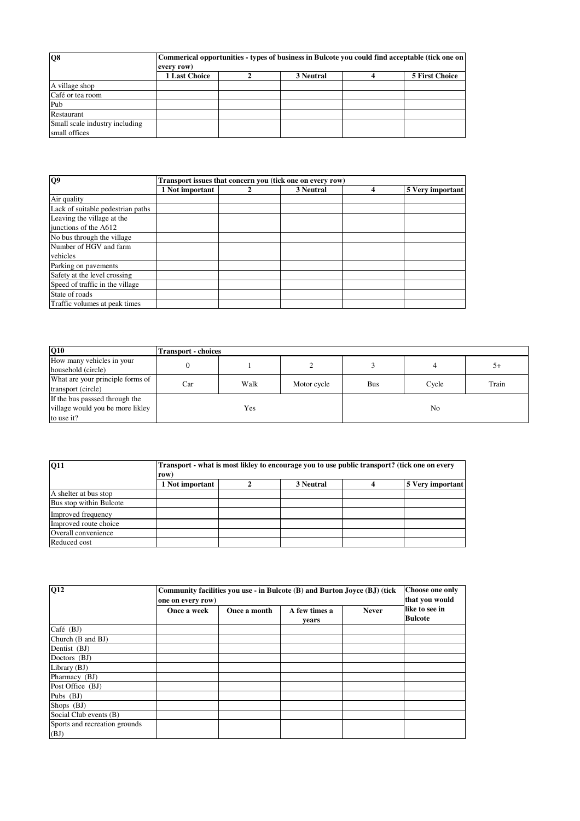| Q8                             | Commerical opportunities - types of business in Bulcote you could find acceptable (tick one on<br>every row) |  |           |  |                       |  |
|--------------------------------|--------------------------------------------------------------------------------------------------------------|--|-----------|--|-----------------------|--|
|                                | 1 Last Choice                                                                                                |  | 3 Neutral |  | <b>5 First Choice</b> |  |
| A village shop                 |                                                                                                              |  |           |  |                       |  |
| Café or tea room               |                                                                                                              |  |           |  |                       |  |
| Pub                            |                                                                                                              |  |           |  |                       |  |
| Restaurant                     |                                                                                                              |  |           |  |                       |  |
| Small scale industry including |                                                                                                              |  |           |  |                       |  |
| small offices                  |                                                                                                              |  |           |  |                       |  |

| Q <sub>9</sub>                    | Transport issues that concern you (tick one on every row) |  |           |   |                  |  |
|-----------------------------------|-----------------------------------------------------------|--|-----------|---|------------------|--|
|                                   | 1 Not important                                           |  | 3 Neutral | 4 | 5 Very important |  |
| Air quality                       |                                                           |  |           |   |                  |  |
| Lack of suitable pedestrian paths |                                                           |  |           |   |                  |  |
| Leaving the village at the        |                                                           |  |           |   |                  |  |
| junctions of the A612             |                                                           |  |           |   |                  |  |
| No bus through the village        |                                                           |  |           |   |                  |  |
| Number of HGV and farm            |                                                           |  |           |   |                  |  |
| vehicles                          |                                                           |  |           |   |                  |  |
| Parking on pavements              |                                                           |  |           |   |                  |  |
| Safety at the level crossing      |                                                           |  |           |   |                  |  |
| Speed of traffic in the village   |                                                           |  |           |   |                  |  |
| State of roads                    |                                                           |  |           |   |                  |  |
| Traffic volumes at peak times     |                                                           |  |           |   |                  |  |

| $\overline{Q10}$                                                                 | <b>Transport - choices</b> |      |             |            |       |       |
|----------------------------------------------------------------------------------|----------------------------|------|-------------|------------|-------|-------|
| How many vehicles in your<br>household (circle)                                  |                            |      |             |            |       | 5+    |
| What are your principle forms of<br>transport (circle)                           | Car                        | Walk | Motor cycle | <b>Bus</b> | Cycle | Train |
| If the bus passsed through the<br>village would you be more likley<br>to use it? |                            | Yes  |             |            | No    |       |

| <b>O11</b>              | row             | Transport - what is most likley to encourage you to use public transport? (tick one on every |           |  |                  |  |  |
|-------------------------|-----------------|----------------------------------------------------------------------------------------------|-----------|--|------------------|--|--|
|                         | 1 Not important |                                                                                              | 3 Neutral |  | 5 Very important |  |  |
| A shelter at bus stop   |                 |                                                                                              |           |  |                  |  |  |
| Bus stop within Bulcote |                 |                                                                                              |           |  |                  |  |  |
| Improved frequency      |                 |                                                                                              |           |  |                  |  |  |
| Improved route choice   |                 |                                                                                              |           |  |                  |  |  |
| Overall convenience     |                 |                                                                                              |           |  |                  |  |  |
| Reduced cost            |                 |                                                                                              |           |  |                  |  |  |

| <b>Q12</b>                            | Community facilities you use - in Bulcote (B) and Burton Joyce (BJ) (tick<br>one on every row) | Choose one only<br>that you would |                        |              |                                  |
|---------------------------------------|------------------------------------------------------------------------------------------------|-----------------------------------|------------------------|--------------|----------------------------------|
|                                       | Once a week                                                                                    | Once a month                      | A few times a<br>vears | <b>Never</b> | like to see in<br><b>Bulcote</b> |
| Café (BJ)                             |                                                                                                |                                   |                        |              |                                  |
| Church (B and BJ)                     |                                                                                                |                                   |                        |              |                                  |
| Dentist (BJ)                          |                                                                                                |                                   |                        |              |                                  |
| Doctors (BJ)                          |                                                                                                |                                   |                        |              |                                  |
| Library (BJ)                          |                                                                                                |                                   |                        |              |                                  |
| Pharmacy (BJ)                         |                                                                                                |                                   |                        |              |                                  |
| Post Office (BJ)                      |                                                                                                |                                   |                        |              |                                  |
| Pubs $(BJ)$                           |                                                                                                |                                   |                        |              |                                  |
| Shops $(BJ)$                          |                                                                                                |                                   |                        |              |                                  |
| Social Club events (B)                |                                                                                                |                                   |                        |              |                                  |
| Sports and recreation grounds<br>(BJ) |                                                                                                |                                   |                        |              |                                  |